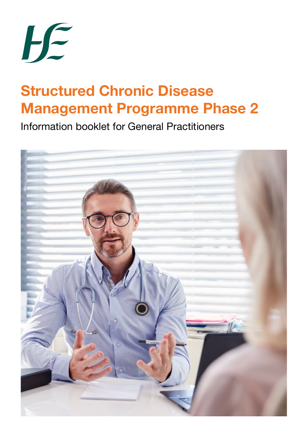

# **Structured Chronic Disease Management Programme Phase 2**

Information booklet for General Practitioners

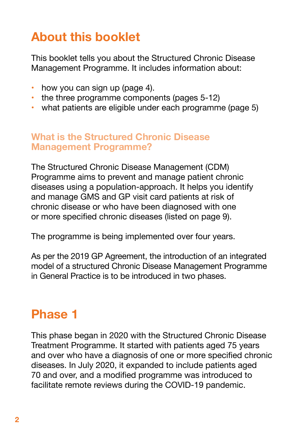## **About this booklet**

This booklet tells you about the Structured Chronic Disease Management Programme. It includes information about:

- $\cdot$  how you can sign up (page 4).
- the three programme components (pages 5-12)
- what patients are eligible under each programme (page 5)

### **What is the Structured Chronic Disease Management Programme?**

The Structured Chronic Disease Management (CDM) Programme aims to prevent and manage patient chronic diseases using a population-approach. It helps you identify and manage GMS and GP visit card patients at risk of chronic disease or who have been diagnosed with one or more specified chronic diseases (listed on page 9).

The programme is being implemented over four years.

As per the 2019 GP Agreement, the introduction of an integrated model of a structured Chronic Disease Management Programme in General Practice is to be introduced in two phases.

## **Phase 1**

This phase began in 2020 with the Structured Chronic Disease Treatment Programme. It started with patients aged 75 years and over who have a diagnosis of one or more specified chronic diseases. In July 2020, it expanded to include patients aged 70 and over, and a modified programme was introduced to facilitate remote reviews during the COVID-19 pandemic.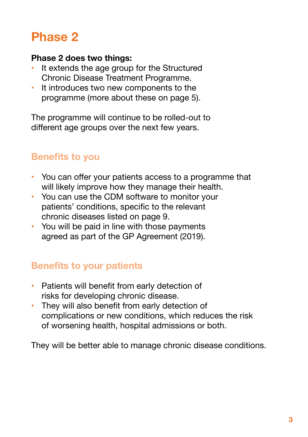## **Phase 2**

#### **Phase 2 does two things:**

- • It extends the age group for the Structured Chronic Disease Treatment Programme.
- It introduces two new components to the programme (more about these on page 5).

The programme will continue to be rolled-out to different age groups over the next few years.

## **Benefits to you**

- You can offer your patients access to a programme that will likely improve how they manage their health.
- You can use the CDM software to monitor your patients' conditions, specific to the relevant chronic diseases listed on page 9.
- You will be paid in line with those payments agreed as part of the GP Agreement (2019).

## **Benefits to your patients**

- Patients will benefit from early detection of risks for developing chronic disease.
- They will also benefit from early detection of complications or new conditions, which reduces the risk of worsening health, hospital admissions or both.

They will be better able to manage chronic disease conditions.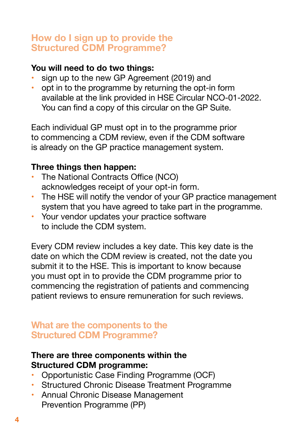### **How do I sign up to provide the Structured CDM Programme?**

#### **You will need to do two things:**

- sign up to the new GP Agreement (2019) and
- opt in to the programme by returning the opt-in form available at the link provided in HSE Circular NCO-01-2022. You can find a copy of this circular on the GP Suite.

Each individual GP must opt in to the programme prior to commencing a CDM review, even if the CDM software is already on the GP practice management system.

#### **Three things then happen:**

- The National Contracts Office (NCO) acknowledges receipt of your opt-in form.
- The HSE will notify the vendor of your GP practice management system that you have agreed to take part in the programme.
- Your vendor updates your practice software to include the CDM system.

Every CDM review includes a key date. This key date is the date on which the CDM review is created, not the date you submit it to the HSE. This is important to know because you must opt in to provide the CDM programme prior to commencing the registration of patients and commencing patient reviews to ensure remuneration for such reviews.

#### **What are the components to the Structured CDM Programme?**

#### **There are three components within the Structured CDM programme:**

- Opportunistic Case Finding Programme (OCF)
- • Structured Chronic Disease Treatment Programme
- • Annual Chronic Disease Management Prevention Programme (PP)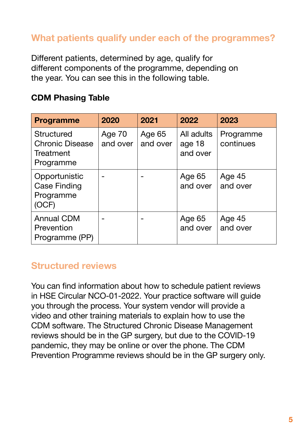## **What patients qualify under each of the programmes?**

Different patients, determined by age, qualify for different components of the programme, depending on the year. You can see this in the following table.

#### **CDM Phasing Table**

| <b>Programme</b>                                               | 2020               | 2021               | 2022                             | 2023                   |
|----------------------------------------------------------------|--------------------|--------------------|----------------------------------|------------------------|
| Structured<br><b>Chronic Disease</b><br>Treatment<br>Programme | Age 70<br>and over | Age 65<br>and over | All adults<br>age 18<br>and over | Programme<br>continues |
| Opportunistic<br>Case Finding<br>Programme<br>(OCF)            |                    |                    | Age 65<br>and over               | Age 45<br>and over     |
| <b>Annual CDM</b><br>Prevention<br>Programme (PP)              |                    |                    | Age 65<br>and over               | Age 45<br>and over     |

## **Structured reviews**

You can find information about how to schedule patient reviews in HSE Circular NCO-01-2022. Your practice software will guide you through the process. Your system vendor will provide a video and other training materials to explain how to use the CDM software. The Structured Chronic Disease Management reviews should be in the GP surgery, but due to the COVID-19 pandemic, they may be online or over the phone. The CDM Prevention Programme reviews should be in the GP surgery only.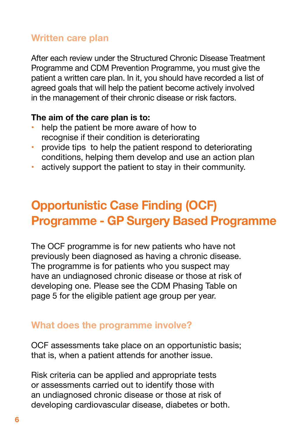## **Written care plan**

After each review under the Structured Chronic Disease Treatment Programme and CDM Prevention Programme, you must give the patient a written care plan. In it, you should have recorded a list of agreed goals that will help the patient become actively involved in the management of their chronic disease or risk factors.

#### **The aim of the care plan is to:**

- help the patient be more aware of how to recognise if their condition is deteriorating
- provide tips to help the patient respond to deteriorating conditions, helping them develop and use an action plan
- actively support the patient to stay in their community.

## **Opportunistic Case Finding (OCF) Programme - GP Surgery Based Programme**

The OCF programme is for new patients who have not previously been diagnosed as having a chronic disease. The programme is for patients who you suspect may have an undiagnosed chronic disease or those at risk of developing one. Please see the CDM Phasing Table on page 5 for the eligible patient age group per year.

### **What does the programme involve?**

OCF assessments take place on an opportunistic basis; that is, when a patient attends for another issue.

Risk criteria can be applied and appropriate tests or assessments carried out to identify those with an undiagnosed chronic disease or those at risk of developing cardiovascular disease, diabetes or both.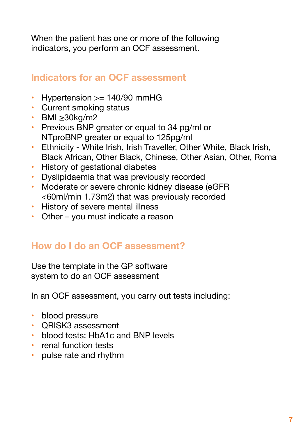When the patient has one or more of the following indicators, you perform an OCF assessment.

## **Indicators for an OCF assessment**

- $Hypertension >= 140/90$  mmHG
- Current smoking status
- $\cdot$  BMI  $\geq$ 30kg/m2
- Previous BNP greater or equal to 34 pg/ml or NTproBNP greater or equal to 125pg/ml
- Ethnicity White Irish, Irish Traveller, Other White, Black Irish, Black African, Other Black, Chinese, Other Asian, Other, Roma
- History of gestational diabetes
- • Dyslipidaemia that was previously recorded
- Moderate or severe chronic kidney disease (eGFR <60ml/min 1.73m2) that was previously recorded
- History of severe mental illness
- Other you must indicate a reason

## **How do I do an OCF assessment?**

Use the template in the GP software system to do an OCF assessment

In an OCF assessment, you carry out tests including:

- blood pressure
- • QRISK3 assessment
- blood tests: HbA1c and BNP levels
- renal function tests
- pulse rate and rhythm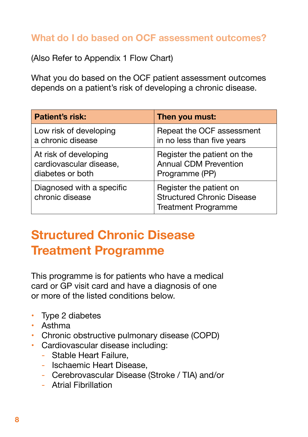## **What do I do based on OCF assessment outcomes?**

(Also Refer to Appendix 1 Flow Chart)

What you do based on the OCF patient assessment outcomes depends on a patient's risk of developing a chronic disease.

| <b>Patient's risk:</b>                       | Then you must:                                                                             |  |  |
|----------------------------------------------|--------------------------------------------------------------------------------------------|--|--|
| Low risk of developing                       | Repeat the OCF assessment                                                                  |  |  |
| a chronic disease                            | in no less than five years                                                                 |  |  |
| At risk of developing                        | Register the patient on the                                                                |  |  |
| cardiovascular disease,                      | <b>Annual CDM Prevention</b>                                                               |  |  |
| diabetes or both                             | Programme (PP)                                                                             |  |  |
| Diagnosed with a specific<br>chronic disease | Register the patient on<br><b>Structured Chronic Disease</b><br><b>Treatment Programme</b> |  |  |

## **Structured Chronic Disease Treatment Programme**

This programme is for patients who have a medical card or GP visit card and have a diagnosis of one or more of the listed conditions below.

- Type 2 diabetes
- • Asthma
- Chronic obstructive pulmonary disease (COPD)
- • Cardiovascular disease including:
	- Stable Heart Failure,
	- Ischaemic Heart Disease,
	- Cerebrovascular Disease (Stroke / TIA) and/or
	- Atrial Fibrillation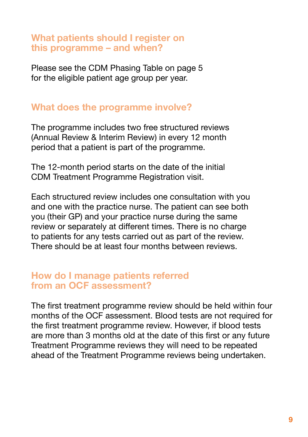#### **What patients should I register on this programme – and when?**

Please see the CDM Phasing Table on page 5 for the eligible patient age group per year.

#### **What does the programme involve?**

The programme includes two free structured reviews (Annual Review & Interim Review) in every 12 month period that a patient is part of the programme.

The 12-month period starts on the date of the initial CDM Treatment Programme Registration visit.

Each structured review includes one consultation with you and one with the practice nurse. The patient can see both you (their GP) and your practice nurse during the same review or separately at different times. There is no charge to patients for any tests carried out as part of the review. There should be at least four months between reviews.

#### **How do I manage patients referred from an OCF assessment?**

The first treatment programme review should be held within four months of the OCF assessment. Blood tests are not required for the first treatment programme review. However, if blood tests are more than 3 months old at the date of this first or any future Treatment Programme reviews they will need to be repeated ahead of the Treatment Programme reviews being undertaken.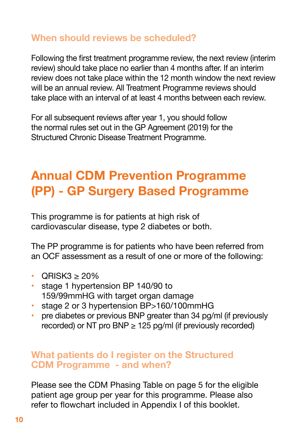## **When should reviews be scheduled?**

Following the first treatment programme review, the next review (interim review) should take place no earlier than 4 months after. If an interim review does not take place within the 12 month window the next review will be an annual review. All Treatment Programme reviews should take place with an interval of at least 4 months between each review.

For all subsequent reviews after year 1, you should follow the normal rules set out in the GP Agreement (2019) for the Structured Chronic Disease Treatment Programme.

## **Annual CDM Prevention Programme (PP) - GP Surgery Based Programme**

This programme is for patients at high risk of cardiovascular disease, type 2 diabetes or both.

The PP programme is for patients who have been referred from an OCF assessment as a result of one or more of the following:

- $ORISK3 > 20%$
- stage 1 hypertension BP 140/90 to 159/99mmHG with target organ damage
- stage 2 or 3 hypertension BP>160/100mmHG
- pre diabetes or previous BNP greater than 34 pg/ml (if previously recorded) or NT pro  $BNP \geq 125$  pg/ml (if previously recorded)

#### **What patients do I register on the Structured CDM Programme - and when?**

Please see the CDM Phasing Table on page 5 for the eligible patient age group per year for this programme. Please also refer to flowchart included in Appendix I of this booklet.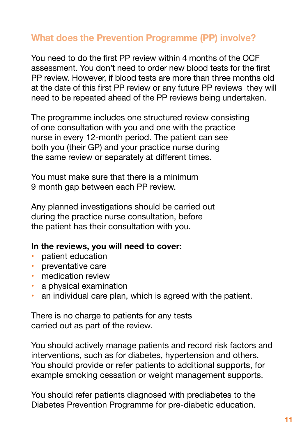## **What does the Prevention Programme (PP) involve?**

You need to do the first PP review within 4 months of the OCF assessment. You don't need to order new blood tests for the first PP review. However, if blood tests are more than three months old at the date of this first PP review or any future PP reviews they will need to be repeated ahead of the PP reviews being undertaken.

The programme includes one structured review consisting of one consultation with you and one with the practice nurse in every 12-month period. The patient can see both you (their GP) and your practice nurse during the same review or separately at different times.

You must make sure that there is a minimum 9 month gap between each PP review.

Any planned investigations should be carried out during the practice nurse consultation, before the patient has their consultation with you.

#### **In the reviews, you will need to cover:**

- **patient education**
- **preventative care**
- medication review
- a physical examination
- an individual care plan, which is agreed with the patient.

There is no charge to patients for any tests carried out as part of the review.

You should actively manage patients and record risk factors and interventions, such as for diabetes, hypertension and others. You should provide or refer patients to additional supports, for example smoking cessation or weight management supports.

You should refer patients diagnosed with prediabetes to the Diabetes Prevention Programme for pre-diabetic education.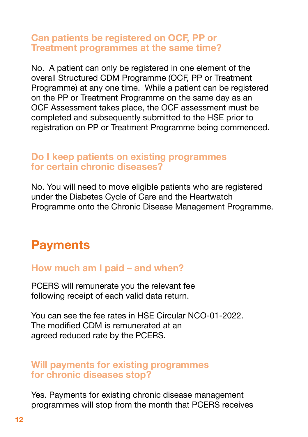#### **Can patients be registered on OCF, PP or Treatment programmes at the same time?**

No. A patient can only be registered in one element of the overall Structured CDM Programme (OCF, PP or Treatment Programme) at any one time. While a patient can be registered on the PP or Treatment Programme on the same day as an OCF Assessment takes place, the OCF assessment must be completed and subsequently submitted to the HSE prior to registration on PP or Treatment Programme being commenced.

#### **Do I keep patients on existing programmes for certain chronic diseases?**

No. You will need to move eligible patients who are registered under the Diabetes Cycle of Care and the Heartwatch Programme onto the Chronic Disease Management Programme.

## **Payments**

### **How much am I paid – and when?**

PCERS will remunerate you the relevant fee following receipt of each valid data return.

You can see the fee rates in HSE Circular NCO-01-2022. The modified CDM is remunerated at an agreed reduced rate by the PCERS.

#### **Will payments for existing programmes for chronic diseases stop?**

Yes. Payments for existing chronic disease management programmes will stop from the month that PCERS receives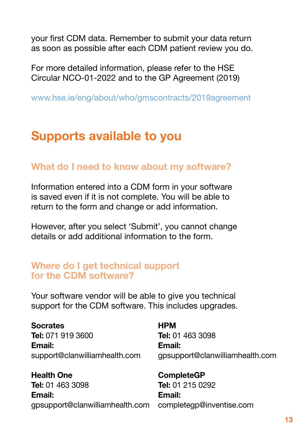your first CDM data. Remember to submit your data return as soon as possible after each CDM patient review you do.

For more detailed information, please refer to the HSE Circular NCO-01-2022 and to the GP Agreement (2019)

www.hse.ie/eng/about/who/gmscontracts/2019agreement

## **Supports available to you**

#### **What do I need to know about my software?**

Information entered into a CDM form in your software is saved even if it is not complete. You will be able to return to the form and change or add information.

However, after you select 'Submit', you cannot change details or add additional information to the form.

#### **Where do I get technical support for the CDM software?**

Your software vendor will be able to give you technical support for the CDM software. This includes upgrades.

**Socrates Tel:** 071 919 3600 **Email:** support@clanwilliamhealth.com

**Health One Tel:** 01 463 3098 **Email:** gpsupport@clanwilliamhealth.com **HPM Tel:** 01 463 3098 **Email:** gpsupport@clanwilliamhealth.com

**CompleteGP Tel:** 01 215 0292 **Email:** completegp@inventise.com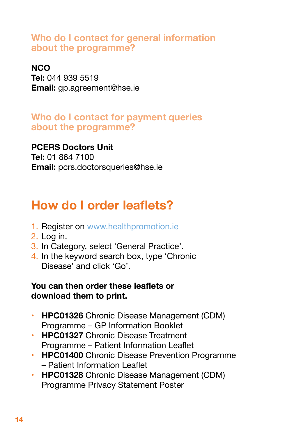### **Who do I contact for general information about the programme?**

#### **NCO**

**Tel:** 044 939 5519 **Email:** gp.agreement@hse.ie

### **Who do I contact for payment queries about the programme?**

## **PCERS Doctors Unit**

**Tel:** 01 864 7100 **Email:** pcrs.doctorsqueries@hse.ie

## **How do I order leaflets?**

- 1. Register on www.healthpromotion.ie
- 2. Log in.
- 3. In Category, select 'General Practice'.
- 4. In the keyword search box, type 'Chronic Disease' and click 'Go'.

#### **You can then order these leaflets or download them to print.**

- • **HPC01326** Chronic Disease Management (CDM) Programme – GP Information Booklet
- **HPC01327** Chronic Disease Treatment Programme – Patient Information Leaflet
- • **HPC01400** Chronic Disease Prevention Programme – Patient Information Leaflet
- • **HPC01328** Chronic Disease Management (CDM) Programme Privacy Statement Poster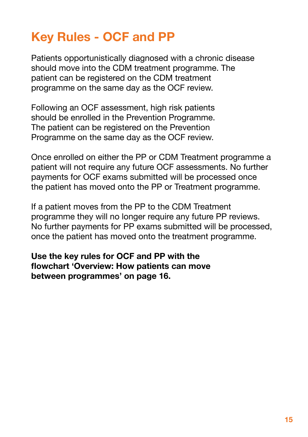## **Key Rules - OCF and PP**

Patients opportunistically diagnosed with a chronic disease should move into the CDM treatment programme. The patient can be registered on the CDM treatment programme on the same day as the OCF review.

Following an OCF assessment, high risk patients should be enrolled in the Prevention Programme. The patient can be registered on the Prevention Programme on the same day as the OCF review.

Once enrolled on either the PP or CDM Treatment programme a patient will not require any future OCF assessments. No further payments for OCF exams submitted will be processed once the patient has moved onto the PP or Treatment programme.

If a patient moves from the PP to the CDM Treatment programme they will no longer require any future PP reviews. No further payments for PP exams submitted will be processed, once the patient has moved onto the treatment programme.

**Use the key rules for OCF and PP with the flowchart 'Overview: How patients can move between programmes' on page 16.**